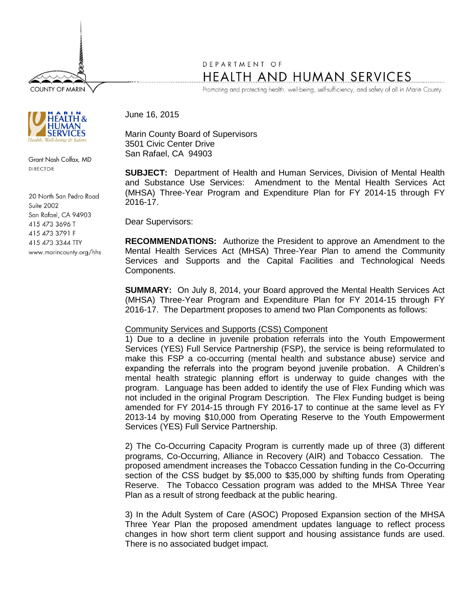**COUNTY OF MARIN** 



Grant Nash Colfax, MD DIRECTOR

20 North San Pedro Road Suite 2002 San Rafael, CA 94903 415 473 3696 T 415 473 3791 F 415 473 3344 TTY www.marincounty.org/hhs

## DEPARTMENT OF HEALTH AND HUMAN SERVICES

Promoting and protecting health, well-being, self-sufficiency, and safety of all in Marin County.

June 16, 2015

Marin County Board of Supervisors 3501 Civic Center Drive San Rafael, CA 94903

**SUBJECT:** Department of Health and Human Services, Division of Mental Health and Substance Use Services: Amendment to the Mental Health Services Act (MHSA) Three-Year Program and Expenditure Plan for FY 2014-15 through FY 2016-17.

Dear Supervisors:

**RECOMMENDATIONS:** Authorize the President to approve an Amendment to the Mental Health Services Act (MHSA) Three-Year Plan to amend the Community Services and Supports and the Capital Facilities and Technological Needs Components.

**SUMMARY:** On July 8, 2014, your Board approved the Mental Health Services Act (MHSA) Three-Year Program and Expenditure Plan for FY 2014-15 through FY 2016-17. The Department proposes to amend two Plan Components as follows:

## Community Services and Supports (CSS) Component

1) Due to a decline in juvenile probation referrals into the Youth Empowerment Services (YES) Full Service Partnership (FSP), the service is being reformulated to make this FSP a co-occurring (mental health and substance abuse) service and expanding the referrals into the program beyond juvenile probation. A Children's mental health strategic planning effort is underway to guide changes with the program. Language has been added to identify the use of Flex Funding which was not included in the original Program Description. The Flex Funding budget is being amended for FY 2014-15 through FY 2016-17 to continue at the same level as FY 2013-14 by moving \$10,000 from Operating Reserve to the Youth Empowerment Services (YES) Full Service Partnership.

2) The Co-Occurring Capacity Program is currently made up of three (3) different programs, Co-Occurring, Alliance in Recovery (AIR) and Tobacco Cessation. The proposed amendment increases the Tobacco Cessation funding in the Co-Occurring section of the CSS budget by \$5,000 to \$35,000 by shifting funds from Operating Reserve. The Tobacco Cessation program was added to the MHSA Three Year Plan as a result of strong feedback at the public hearing.

3) In the Adult System of Care (ASOC) Proposed Expansion section of the MHSA Three Year Plan the proposed amendment updates language to reflect process changes in how short term client support and housing assistance funds are used. There is no associated budget impact.